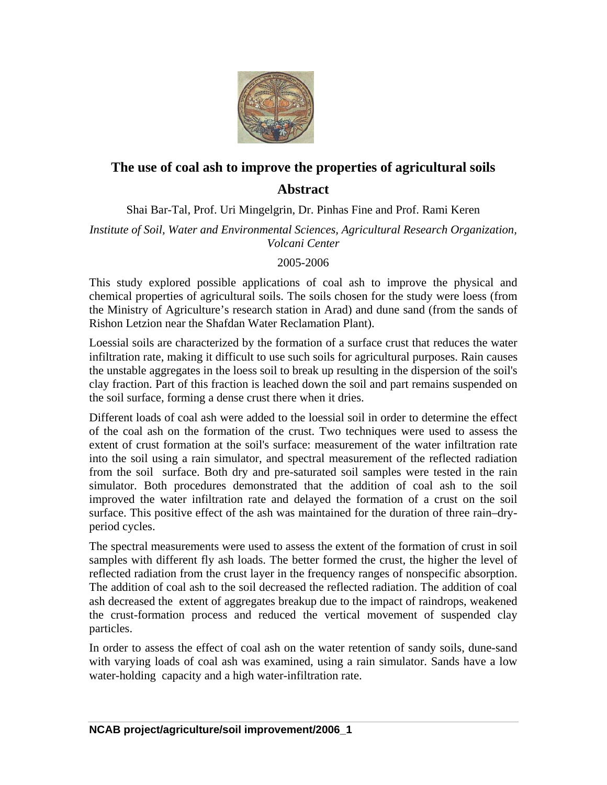

## **The use of coal ash to improve the properties of agricultural soils Abstract**

Shai Bar-Tal, Prof. Uri Mingelgrin, Dr. Pinhas Fine and Prof. Rami Keren

*Institute of Soil, Water and Environmental Sciences, Agricultural Research Organization, Volcani Center* 

## 2005-2006

This study explored possible applications of coal ash to improve the physical and chemical properties of agricultural soils. The soils chosen for the study were loess (from the Ministry of Agriculture's research station in Arad) and dune sand (from the sands of Rishon Letzion near the Shafdan Water Reclamation Plant).

Loessial soils are characterized by the formation of a surface crust that reduces the water infiltration rate, making it difficult to use such soils for agricultural purposes. Rain causes the unstable aggregates in the loess soil to break up resulting in the dispersion of the soil's clay fraction. Part of this fraction is leached down the soil and part remains suspended on the soil surface, forming a dense crust there when it dries.

Different loads of coal ash were added to the loessial soil in order to determine the effect of the coal ash on the formation of the crust. Two techniques were used to assess the extent of crust formation at the soil's surface: measurement of the water infiltration rate into the soil using a rain simulator, and spectral measurement of the reflected radiation from the soil surface. Both dry and pre-saturated soil samples were tested in the rain simulator. Both procedures demonstrated that the addition of coal ash to the soil improved the water infiltration rate and delayed the formation of a crust on the soil surface. This positive effect of the ash was maintained for the duration of three rain–dryperiod cycles.

The spectral measurements were used to assess the extent of the formation of crust in soil samples with different fly ash loads. The better formed the crust, the higher the level of reflected radiation from the crust layer in the frequency ranges of nonspecific absorption. The addition of coal ash to the soil decreased the reflected radiation. The addition of coal ash decreased the extent of aggregates breakup due to the impact of raindrops, weakened the crust-formation process and reduced the vertical movement of suspended clay particles.

In order to assess the effect of coal ash on the water retention of sandy soils, dune-sand with varying loads of coal ash was examined, using a rain simulator. Sands have a low water-holding capacity and a high water-infiltration rate.